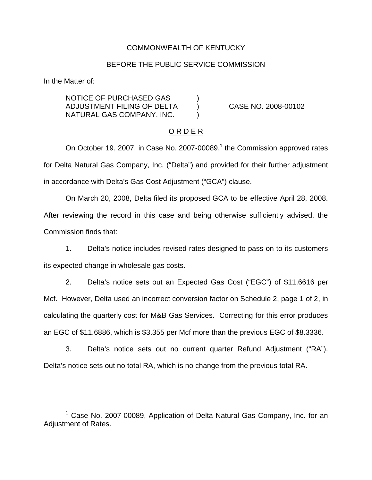## COMMONWEALTH OF KENTUCKY

### BEFORE THE PUBLIC SERVICE COMMISSION

In the Matter of:

NOTICE OF PURCHASED GAS ) ADJUSTMENT FILING OF DELTA ) CASE NO. 2008-00102 NATURAL GAS COMPANY, INC. )

### O R D E R

On October 19, 2007, in Case No. 2007-00089, $<sup>1</sup>$  the Commission approved rates</sup> for Delta Natural Gas Company, Inc. ("Delta") and provided for their further adjustment in accordance with Delta's Gas Cost Adjustment ("GCA") clause.

On March 20, 2008, Delta filed its proposed GCA to be effective April 28, 2008. After reviewing the record in this case and being otherwise sufficiently advised, the Commission finds that:

1. Delta's notice includes revised rates designed to pass on to its customers its expected change in wholesale gas costs.

2. Delta's notice sets out an Expected Gas Cost ("EGC") of \$11.6616 per Mcf. However, Delta used an incorrect conversion factor on Schedule 2, page 1 of 2, in calculating the quarterly cost for M&B Gas Services. Correcting for this error produces an EGC of \$11.6886, which is \$3.355 per Mcf more than the previous EGC of \$8.3336.

3. Delta's notice sets out no current quarter Refund Adjustment ("RA"). Delta's notice sets out no total RA, which is no change from the previous total RA.

<sup>1</sup> Case No. 2007-00089, Application of Delta Natural Gas Company, Inc. for an Adjustment of Rates.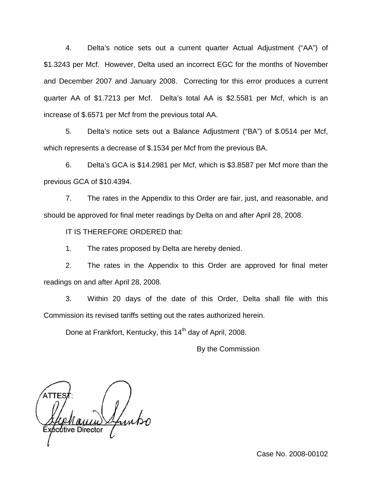4. Delta's notice sets out a current quarter Actual Adjustment ("AA") of \$1.3243 per Mcf. However, Delta used an incorrect EGC for the months of November and December 2007 and January 2008. Correcting for this error produces a current quarter AA of \$1.7213 per Mcf. Delta's total AA is \$2.5581 per Mcf, which is an increase of \$.6571 per Mcf from the previous total AA.

5. Delta's notice sets out a Balance Adjustment ("BA") of \$.0514 per Mcf, which represents a decrease of \$.1534 per Mcf from the previous BA.

6. Delta's GCA is \$14.2981 per Mcf, which is \$3.8587 per Mcf more than the previous GCA of \$10.4394.

7. The rates in the Appendix to this Order are fair, just, and reasonable, and should be approved for final meter readings by Delta on and after April 28, 2008.

IT IS THEREFORE ORDERED that:

1. The rates proposed by Delta are hereby denied.

2. The rates in the Appendix to this Order are approved for final meter readings on and after April 28, 2008.

3. Within 20 days of the date of this Order, Delta shall file with this Commission its revised tariffs setting out the rates authorized herein.

Done at Frankfort, Kentucky, this 14<sup>th</sup> day of April, 2008.

By the Commission

Case No. 2008-00102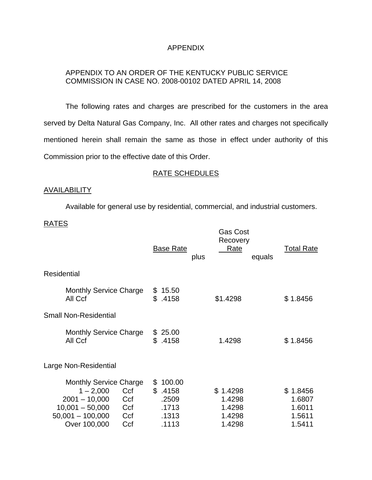# APPENDIX

# APPENDIX TO AN ORDER OF THE KENTUCKY PUBLIC SERVICE COMMISSION IN CASE NO. 2008-00102 DATED APRIL 14, 2008

The following rates and charges are prescribed for the customers in the area served by Delta Natural Gas Company, Inc. All other rates and charges not specifically mentioned herein shall remain the same as those in effect under authority of this Commission prior to the effective date of this Order.

### RATE SCHEDULES

## AVAILABILITY

Available for general use by residential, commercial, and industrial customers.

## RATES

| <b>Base Rate</b><br>plus                           | <b>Gas Cost</b><br>Recovery<br>Rate<br>equals | <b>Total Rate</b>                                |
|----------------------------------------------------|-----------------------------------------------|--------------------------------------------------|
|                                                    |                                               |                                                  |
| 15.50<br>\$<br>\$<br>.4158                         | \$1.4298                                      | \$1.8456                                         |
|                                                    |                                               |                                                  |
| 25.00<br>SS.<br>\$<br>.4158                        | 1.4298                                        | \$1.8456                                         |
|                                                    |                                               |                                                  |
| 100.00<br>\$<br>\$.4158<br>.2509<br>.1713<br>.1313 | \$1.4298<br>1.4298<br>1.4298<br>1.4298        | \$1.8456<br>1.6807<br>1.6011<br>1.5611<br>1.5411 |
|                                                    | .1113                                         | 1.4298                                           |